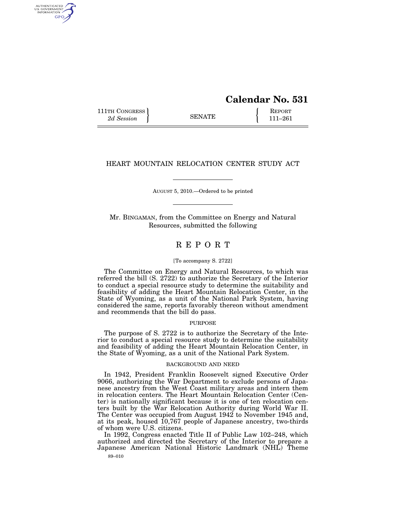# **Calendar No. 531**

111TH CONGRESS **REPORT** 2d Session **111 EXECUTE 111**–261

AUTHENTICATED<br>U.S. GOVERNMENT<br>INFORMATION GPO

## HEART MOUNTAIN RELOCATION CENTER STUDY ACT

AUGUST 5, 2010.—Ordered to be printed

Mr. BINGAMAN, from the Committee on Energy and Natural Resources, submitted the following

## R E P O R T

#### [To accompany S. 2722]

The Committee on Energy and Natural Resources, to which was referred the bill (S. 2722) to authorize the Secretary of the Interior to conduct a special resource study to determine the suitability and feasibility of adding the Heart Mountain Relocation Center, in the State of Wyoming, as a unit of the National Park System, having considered the same, reports favorably thereon without amendment and recommends that the bill do pass.

#### **PURPOSE**

The purpose of S. 2722 is to authorize the Secretary of the Interior to conduct a special resource study to determine the suitability and feasibility of adding the Heart Mountain Relocation Center, in the State of Wyoming, as a unit of the National Park System.

#### BACKGROUND AND NEED

In 1942, President Franklin Roosevelt signed Executive Order 9066, authorizing the War Department to exclude persons of Japanese ancestry from the West Coast military areas and intern them in relocation centers. The Heart Mountain Relocation Center (Center) is nationally significant because it is one of ten relocation centers built by the War Relocation Authority during World War II. The Center was occupied from August 1942 to November 1945 and, at its peak, housed 10,767 people of Japanese ancestry, two-thirds of whom were U.S. citizens.

89–010 In 1992, Congress enacted Title II of Public Law 102–248, which authorized and directed the Secretary of the Interior to prepare a Japanese American National Historic Landmark (NHL) Theme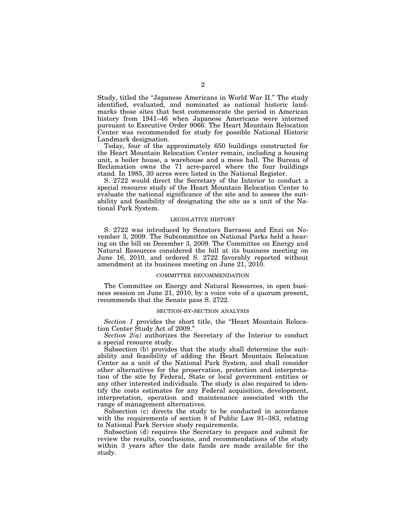Study, titled the ''Japanese Americans in World War II.'' The study identified, evaluated, and nominated as national historic landmarks those sites that best commemorate the period in American history from 1941–46 when Japanese Americans were interned pursuant to Executive Order 9066. The Heart Mountain Relocation Center was recommended for study for possible National Historic Landmark designation.

Today, four of the approximately 650 buildings constructed for the Heart Mountain Relocation Center remain, including a housing unit, a boiler house, a warehouse and a mess hall. The Bureau of Reclamation owns the 71 acre-parcel where the four buildings stand. In 1985, 30 acres were listed in the National Register.

S. 2722 would direct the Secretary of the Interior to conduct a special resource study of the Heart Mountain Relocation Center to evaluate the national significance of the site and to assess the suitability and feasibility of designating the site as a unit of the National Park System.

#### LEGISLATIVE HISTORY

S. 2722 was introduced by Senators Barrasso and Enzi on November 3, 2009. The Subcommittee on National Parks held a hearing on the bill on December 3, 2009. The Committee on Energy and Natural Resources considered the bill at its business meeting on June 16, 2010, and ordered S. 2722 favorably reported without amendment at its business meeting on June 21, 2010.

#### COMMITTEE RECOMMENDATION

The Committee on Energy and Natural Resources, in open business session on June 21,  $2010$ , by a voice vote of a quorum present, recommends that the Senate pass S. 2722.

#### SECTION-BY-SECTION ANALYSIS

*Section 1* provides the short title, the ''Heart Mountain Relocation Center Study Act of 2009.''

*Section 2(a)* authorizes the Secretary of the Interior to conduct a special resource study.

Subsection (b) provides that the study shall determine the suitability and feasibility of adding the Heart Mountain Relocation Center as a unit of the National Park System, and shall consider other alternatives for the preservation, protection and interpretation of the site by Federal, State or local government entities or any other interested individuals. The study is also required to identify the costs estimates for any Federal acquisition, development, interpretation, operation and maintenance associated with the range of management alternatives.

Subsection  $\overline{c}$  directs the study to be conducted in accordance with the requirements of section 8 of Public Law 91–383, relating to National Park Service study requirements.

Subsection (d) requires the Secretary to prepare and submit for review the results, conclusions, and recommendations of the study within 3 years after the date funds are made available for the study.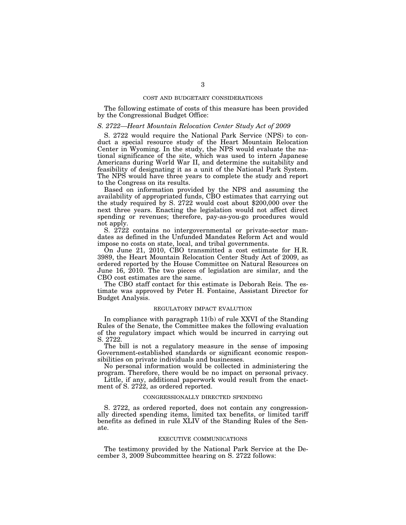#### COST AND BUDGETARY CONSIDERATIONS

The following estimate of costs of this measure has been provided by the Congressional Budget Office:

#### *S. 2722—Heart Mountain Relocation Center Study Act of 2009*

S. 2722 would require the National Park Service (NPS) to conduct a special resource study of the Heart Mountain Relocation Center in Wyoming. In the study, the NPS would evaluate the national significance of the site, which was used to intern Japanese Americans during World War II, and determine the suitability and feasibility of designating it as a unit of the National Park System. The NPS would have three years to complete the study and report to the Congress on its results.

Based on information provided by the NPS and assuming the availability of appropriated funds, CBO estimates that carrying out the study required by S. 2722 would cost about \$200,000 over the next three years. Enacting the legislation would not affect direct spending or revenues; therefore, pay-as-you-go procedures would not apply.

S. 2722 contains no intergovernmental or private-sector mandates as defined in the Unfunded Mandates Reform Act and would impose no costs on state, local, and tribal governments.

On June 21, 2010, CBO transmitted a cost estimate for H.R. 3989, the Heart Mountain Relocation Center Study Act of 2009, as ordered reported by the House Committee on Natural Resources on June 16, 2010. The two pieces of legislation are similar, and the CBO cost estimates are the same.

The CBO staff contact for this estimate is Deborah Reis. The estimate was approved by Peter H. Fontaine, Assistant Director for Budget Analysis.

## REGULATORY IMPACT EVALUTION

In compliance with paragraph 11(b) of rule XXVI of the Standing Rules of the Senate, the Committee makes the following evaluation of the regulatory impact which would be incurred in carrying out S. 2722.

The bill is not a regulatory measure in the sense of imposing Government-established standards or significant economic responsibilities on private individuals and businesses.

No personal information would be collected in administering the program. Therefore, there would be no impact on personal privacy.

Little, if any, additional paperwork would result from the enactment of S. 2722, as ordered reported.

#### CONGRESSIONALLY DIRECTED SPENDING

S. 2722, as ordered reported, does not contain any congressionally directed spending items, limited tax benefits, or limited tariff benefits as defined in rule XLIV of the Standing Rules of the Senate.

#### EXECUTIVE COMMUNICATIONS

The testimony provided by the National Park Service at the December 3, 2009 Subcommittee hearing on S. 2722 follows: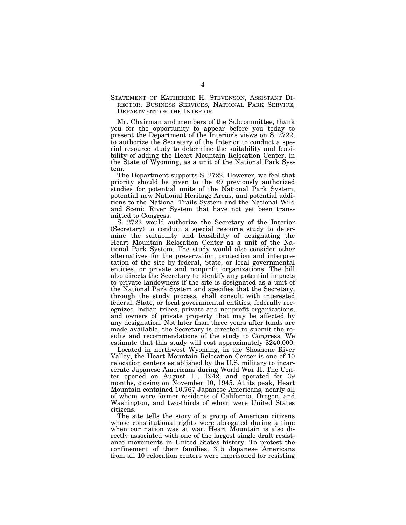## STATEMENT OF KATHERINE H. STEVENSON, ASSISTANT DI-RECTOR, BUSINESS SERVICES, NATIONAL PARK SERVICE, DEPARTMENT OF THE INTERIOR

Mr. Chairman and members of the Subcommittee, thank you for the opportunity to appear before you today to present the Department of the Interior's views on S. 2722, to authorize the Secretary of the Interior to conduct a special resource study to determine the suitability and feasibility of adding the Heart Mountain Relocation Center, in the State of Wyoming, as a unit of the National Park System.

The Department supports S. 2722. However, we feel that priority should be given to the 49 previously authorized studies for potential units of the National Park System, potential new National Heritage Areas, and potential additions to the National Trails System and the National Wild and Scenic River System that have not yet been transmitted to Congress.

S. 2722 would authorize the Secretary of the Interior (Secretary) to conduct a special resource study to determine the suitability and feasibility of designating the Heart Mountain Relocation Center as a unit of the National Park System. The study would also consider other alternatives for the preservation, protection and interpretation of the site by federal, State, or local governmental entities, or private and nonprofit organizations. The bill also directs the Secretary to identify any potential impacts to private landowners if the site is designated as a unit of the National Park System and specifies that the Secretary, through the study process, shall consult with interested federal, State, or local governmental entities, federally recognized Indian tribes, private and nonprofit organizations, and owners of private property that may be affected by any designation. Not later than three years after funds are made available, the Secretary is directed to submit the results and recommendations of the study to Congress. We estimate that this study will cost approximately \$240,000.

Located in northwest Wyoming, in the Shoshone River Valley, the Heart Mountain Relocation Center is one of 10 relocation centers established by the U.S. military to incarcerate Japanese Americans during World War II. The Center opened on August 11, 1942, and operated for 39 months, closing on November 10, 1945. At its peak, Heart Mountain contained 10,767 Japanese Americans, nearly all of whom were former residents of California, Oregon, and Washington, and two-thirds of whom were United States citizens.

The site tells the story of a group of American citizens whose constitutional rights were abrogated during a time when our nation was at war. Heart Mountain is also directly associated with one of the largest single draft resistance movements in United States history. To protest the confinement of their families, 315 Japanese Americans from all 10 relocation centers were imprisoned for resisting